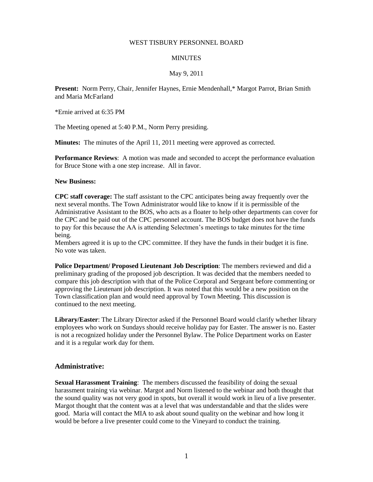# WEST TISBURY PERSONNEL BOARD

#### **MINUTES**

# May 9, 2011

**Present:** Norm Perry, Chair, Jennifer Haynes, Ernie Mendenhall,\* Margot Parrot, Brian Smith and Maria McFarland

\*Ernie arrived at 6:35 PM

The Meeting opened at 5:40 P.M., Norm Perry presiding.

**Minutes:** The minutes of the April 11, 2011 meeting were approved as corrected.

**Performance Reviews**: A motion was made and seconded to accept the performance evaluation for Bruce Stone with a one step increase. All in favor.

#### **New Business:**

**CPC staff coverage:** The staff assistant to the CPC anticipates being away frequently over the next several months. The Town Administrator would like to know if it is permissible of the Administrative Assistant to the BOS, who acts as a floater to help other departments can cover for the CPC and be paid out of the CPC personnel account. The BOS budget does not have the funds to pay for this because the AA is attending Selectmen's meetings to take minutes for the time being.

Members agreed it is up to the CPC committee. If they have the funds in their budget it is fine. No vote was taken.

**Police Department/ Proposed Lieutenant Job Description**: The members reviewed and did a preliminary grading of the proposed job description. It was decided that the members needed to compare this job description with that of the Police Corporal and Sergeant before commenting or approving the Lieutenant job description. It was noted that this would be a new position on the Town classification plan and would need approval by Town Meeting. This discussion is continued to the next meeting.

**Library/Easter**: The Library Director asked if the Personnel Board would clarify whether library employees who work on Sundays should receive holiday pay for Easter. The answer is no. Easter is not a recognized holiday under the Personnel Bylaw. The Police Department works on Easter and it is a regular work day for them.

# **Administrative:**

**Sexual Harassment Training**: The members discussed the feasibility of doing the sexual harassment training via webinar. Margot and Norm listened to the webinar and both thought that the sound quality was not very good in spots, but overall it would work in lieu of a live presenter. Margot thought that the content was at a level that was understandable and that the slides were good. Maria will contact the MIA to ask about sound quality on the webinar and how long it would be before a live presenter could come to the Vineyard to conduct the training.